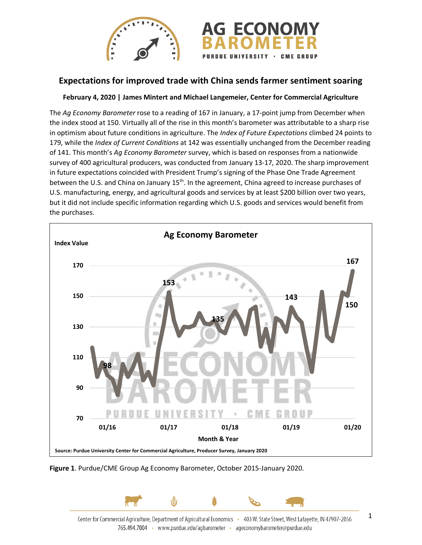

## **Expectations for improved trade with China sends farmer sentiment soaring**

## **February 4, 2020 | James Mintert and Michael Langemeier, Center for Commercial Agriculture**

The *Ag Economy Barometer* rose to a reading of 167 in January, a 17-point jump from December when the index stood at 150. Virtually all of the rise in this month's barometer was attributable to a sharp rise in optimism about future conditions in agriculture. The *Index of Future Expectations* climbed 24 points to 179, while the *Index of Current Conditions* at 142 was essentially unchanged from the December reading of 141. This month's *Ag Economy Barometer* survey, which is based on responses from a nationwide survey of 400 agricultural producers, was conducted from January 13-17, 2020. The sharp improvement in future expectations coincided with President Trump's signing of the Phase One Trade Agreement between the U.S. and China on January 15<sup>th</sup>. In the agreement, China agreed to increase purchases of U.S. manufacturing, energy, and agricultural goods and services by at least \$200 billion over two years, but it did not include specific information regarding which U.S. goods and services would benefit from the purchases.



**Figure 1**. Purdue/CME Group Ag Economy Barometer, October 2015-January 2020.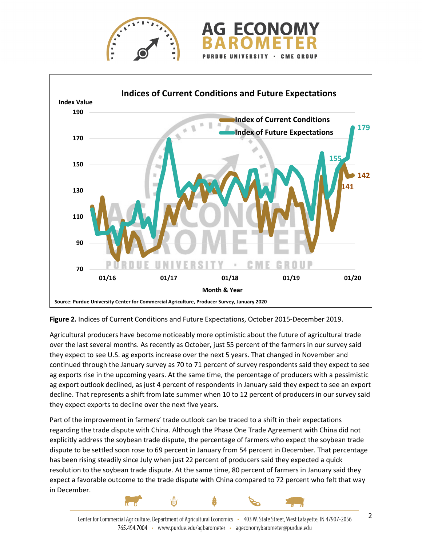



**Figure 2.** Indices of Current Conditions and Future Expectations, October 2015-December 2019.

Agricultural producers have become noticeably more optimistic about the future of agricultural trade over the last several months. As recently as October, just 55 percent of the farmers in our survey said they expect to see U.S. ag exports increase over the next 5 years. That changed in November and continued through the January survey as 70 to 71 percent of survey respondents said they expect to see ag exports rise in the upcoming years. At the same time, the percentage of producers with a pessimistic ag export outlook declined, as just 4 percent of respondents in January said they expect to see an export decline. That represents a shift from late summer when 10 to 12 percent of producers in our survey said they expect exports to decline over the next five years.

Part of the improvement in farmers' trade outlook can be traced to a shift in their expectations regarding the trade dispute with China. Although the Phase One Trade Agreement with China did not explicitly address the soybean trade dispute, the percentage of farmers who expect the soybean trade dispute to be settled soon rose to 69 percent in January from 54 percent in December. That percentage has been rising steadily since July when just 22 percent of producers said they expected a quick resolution to the soybean trade dispute. At the same time, 80 percent of farmers in January said they expect a favorable outcome to the trade dispute with China compared to 72 percent who felt that way in December.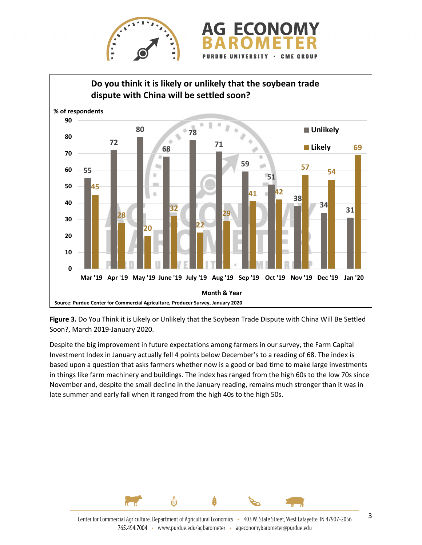



**Figure 3.** Do You Think it is Likely or Unlikely that the Soybean Trade Dispute with China Will Be Settled Soon?, March 2019-January 2020.

Despite the big improvement in future expectations among farmers in our survey, the Farm Capital Investment Index in January actually fell 4 points below December's to a reading of 68. The index is based upon a question that asks farmers whether now is a good or bad time to make large investments in things like farm machinery and buildings. The index has ranged from the high 60s to the low 70s since November and, despite the small decline in the January reading, remains much stronger than it was in late summer and early fall when it ranged from the high 40s to the high 50s.

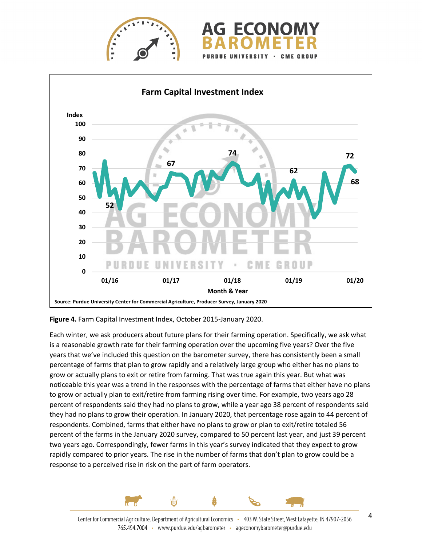





**Figure 4.** Farm Capital Investment Index, October 2015-January 2020.

Each winter, we ask producers about future plans for their farming operation. Specifically, we ask what is a reasonable growth rate for their farming operation over the upcoming five years? Over the five years that we've included this question on the barometer survey, there has consistently been a small percentage of farms that plan to grow rapidly and a relatively large group who either has no plans to grow or actually plans to exit or retire from farming. That was true again this year. But what was noticeable this year was a trend in the responses with the percentage of farms that either have no plans to grow or actually plan to exit/retire from farming rising over time. For example, two years ago 28 percent of respondents said they had no plans to grow, while a year ago 38 percent of respondents said they had no plans to grow their operation. In January 2020, that percentage rose again to 44 percent of respondents. Combined, farms that either have no plans to grow or plan to exit/retire totaled 56 percent of the farms in the January 2020 survey, compared to 50 percent last year, and just 39 percent two years ago. Correspondingly, fewer farms in this year's survey indicated that they expect to grow rapidly compared to prior years. The rise in the number of farms that don't plan to grow could be a response to a perceived rise in risk on the part of farm operators.

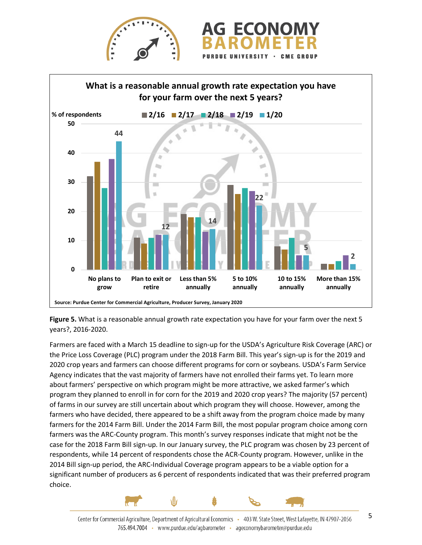



**Figure 5.** What is a reasonable annual growth rate expectation you have for your farm over the next 5 years?, 2016-2020.

Farmers are faced with a March 15 deadline to sign-up for the USDA's Agriculture Risk Coverage (ARC) or the Price Loss Coverage (PLC) program under the 2018 Farm Bill. This year's sign-up is for the 2019 and 2020 crop years and farmers can choose different programs for corn or soybeans. USDA's Farm Service Agency indicates that the vast majority of farmers have not enrolled their farms yet. To learn more about farmers' perspective on which program might be more attractive, we asked farmer's which program they planned to enroll in for corn for the 2019 and 2020 crop years? The majority (57 percent) of farms in our survey are still uncertain about which program they will choose. However, among the farmers who have decided, there appeared to be a shift away from the program choice made by many farmers for the 2014 Farm Bill. Under the 2014 Farm Bill, the most popular program choice among corn farmers was the ARC-County program. This month's survey responses indicate that might not be the case for the 2018 Farm Bill sign-up. In our January survey, the PLC program was chosen by 23 percent of respondents, while 14 percent of respondents chose the ACR-County program. However, unlike in the 2014 Bill sign-up period, the ARC-Individual Coverage program appears to be a viable option for a significant number of producers as 6 percent of respondents indicated that was their preferred program choice.